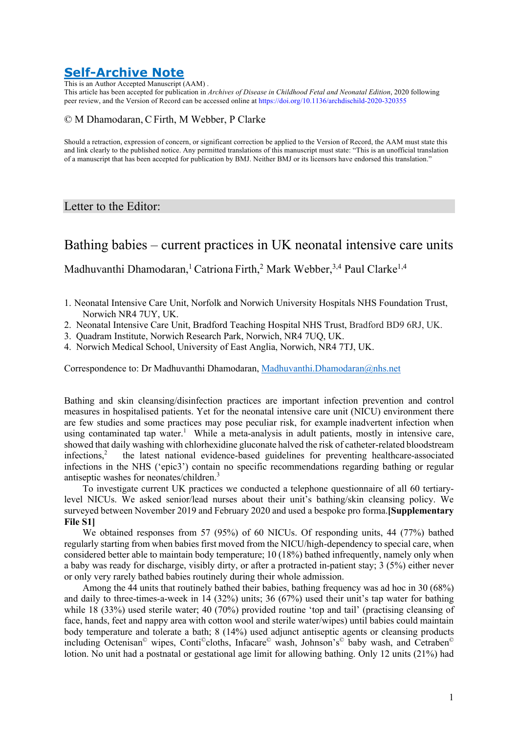# **Self-Archive Note**

This is an Author Accepted Manuscript (AAM) .

This article has been accepted for publication in *Archives of Disease in Childhood Fetal and Neonatal Edition*, 2020 following peer review, and the Version of Record can be accessed online at https://doi.org/10.1136/archdischild-2020-320355

#### © M Dhamodaran, CFirth, M Webber, P Clarke

Should a retraction, expression of concern, or significant correction be applied to the Version of Record, the AAM must state this and link clearly to the published notice. Any permitted translations of this manuscript must state: "This is an unofficial translation of a manuscript that has been accepted for publication by BMJ. Neither BMJ or its licensors have endorsed this translation."

### Letter to the Editor:

## Bathing babies – current practices in UK neonatal intensive care units

Madhuvanthi Dhamodaran,<sup>1</sup> Catriona Firth,<sup>2</sup> Mark Webber,<sup>3,4</sup> Paul Clarke<sup>1,4</sup>

- 1. Neonatal Intensive Care Unit, Norfolk and Norwich University Hospitals NHS Foundation Trust, Norwich NR4 7UY, UK.
- 2. Neonatal Intensive Care Unit, Bradford Teaching Hospital NHS Trust, Bradford BD9 6RJ, UK.
- 3. Quadram Institute, Norwich Research Park, Norwich, NR4 7UQ, UK.
- 4. Norwich Medical School, University of East Anglia, Norwich, NR4 7TJ, UK.

Correspondence to: Dr Madhuvanthi Dhamodaran, Madhuvanthi.Dhamodaran@nhs.net

Bathing and skin cleansing/disinfection practices are important infection prevention and control measures in hospitalised patients. Yet for the neonatal intensive care unit (NICU) environment there are few studies and some practices may pose peculiar risk, for example inadvertent infection when using contaminated tap water.<sup>1</sup> While a meta-analysis in adult patients, mostly in intensive care, showed that daily washing with chlorhexidine gluconate halved the risk of catheter-related bloodstream infections.<sup>2</sup> the latest national evidence-based guidelines for preventing healthcare-associated the latest national evidence-based guidelines for preventing healthcare-associated infections in the NHS ('epic3') contain no specific recommendations regarding bathing or regular antiseptic washes for neonates/children.<sup>3</sup>

To investigate current UK practices we conducted a telephone questionnaire of all 60 tertiarylevel NICUs. We asked senior/lead nurses about their unit's bathing/skin cleansing policy. We surveyed between November 2019 and February 2020 and used a bespoke pro forma.**[Supplementary File S1]** 

We obtained responses from 57 (95%) of 60 NICUs. Of responding units, 44 (77%) bathed regularly starting from when babies first moved from the NICU/high-dependency to special care, when considered better able to maintain body temperature; 10 (18%) bathed infrequently, namely only when a baby was ready for discharge, visibly dirty, or after a protracted in-patient stay; 3 (5%) either never or only very rarely bathed babies routinely during their whole admission.

Among the 44 units that routinely bathed their babies, bathing frequency was ad hoc in 30 (68%) and daily to three-times-a-week in 14 (32%) units; 36 (67%) used their unit's tap water for bathing while 18 (33%) used sterile water; 40 (70%) provided routine 'top and tail' (practising cleansing of face, hands, feet and nappy area with cotton wool and sterile water/wipes) until babies could maintain body temperature and tolerate a bath; 8 (14%) used adjunct antiseptic agents or cleansing products including Octenisan© wipes, Conti©cloths, Infacare© wash, Johnson's© baby wash, and Cetraben© lotion. No unit had a postnatal or gestational age limit for allowing bathing. Only 12 units (21%) had